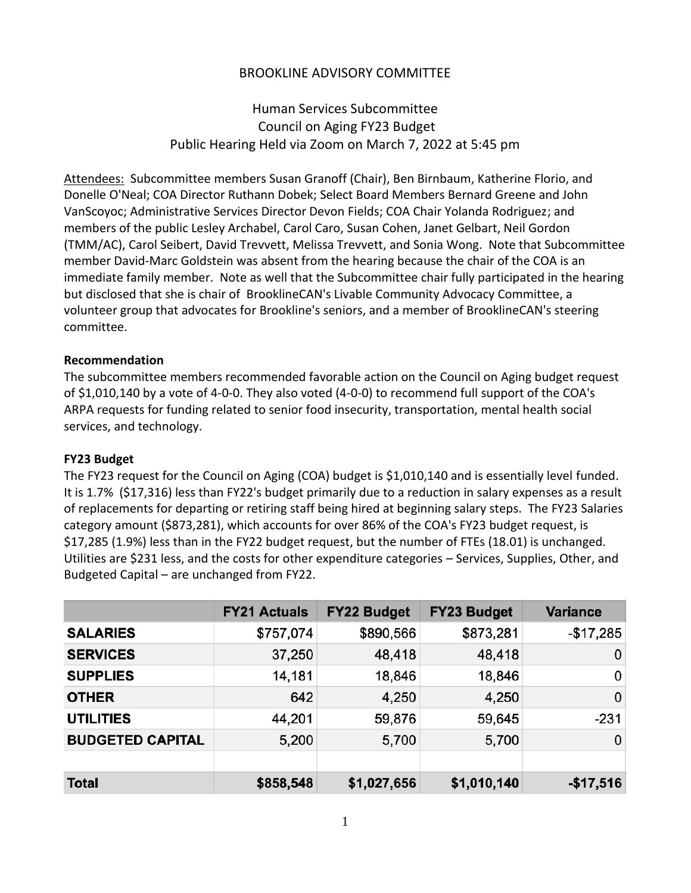# BROOKLINE ADVISORY COMMITTEE

Human Services Subcommittee Council on Aging FY23 Budget Public Hearing Held via Zoom on March 7, 2022 at 5:45 pm

Attendees: Subcommittee members Susan Granoff (Chair), Ben Birnbaum, Katherine Florio, and Donelle O'Neal; COA Director Ruthann Dobek; Select Board Members Bernard Greene and John VanScoyoc; Administrative Services Director Devon Fields; COA Chair Yolanda Rodriguez; and members of the public Lesley Archabel, Carol Caro, Susan Cohen, Janet Gelbart, Neil Gordon (TMM/AC), Carol Seibert, David Trevvett, Melissa Trevvett, and Sonia Wong. Note that Subcommittee member David-Marc Goldstein was absent from the hearing because the chair of the COA is an immediate family member. Note as well that the Subcommittee chair fully participated in the hearing but disclosed that she is chair of BrooklineCAN's Livable Community Advocacy Committee, a volunteer group that advocates for Brookline's seniors, and a member of BrooklineCAN's steering committee.

### **Recommendation**

The subcommittee members recommended favorable action on the Council on Aging budget request of \$1,010,140 by a vote of 4-0-0. They also voted (4-0-0) to recommend full support of the COA's ARPA requests for funding related to senior food insecurity, transportation, mental health social services, and technology.

### **FY23 Budget**

The FY23 request for the Council on Aging (COA) budget is \$1,010,140 and is essentially level funded. It is 1.7% (\$17,316) less than FY22's budget primarily due to a reduction in salary expenses as a result of replacements for departing or retiring staff being hired at beginning salary steps. The FY23 Salaries category amount (\$873,281), which accounts for over 86% of the COA's FY23 budget request, is \$17,285 (1.9%) less than in the FY22 budget request, but the number of FTEs (18.01) is unchanged. Utilities are \$231 less, and the costs for other expenditure categories – Services, Supplies, Other, and Budgeted Capital – are unchanged from FY22.

|                         | <b>FY21 Actuals</b> | <b>FY22 Budget</b> | <b>FY23 Budget</b> | <b>Variance</b> |
|-------------------------|---------------------|--------------------|--------------------|-----------------|
| <b>SALARIES</b>         | \$757,074           | \$890,566          | \$873,281          | $-$17,285$      |
| <b>SERVICES</b>         | 37,250              | 48,418             | 48,418             | 0               |
| <b>SUPPLIES</b>         | 14,181              | 18,846             | 18,846             | 0               |
| <b>OTHER</b>            | 642                 | 4,250              | 4,250              | 0               |
| <b>UTILITIES</b>        | 44,201              | 59,876             | 59,645             | $-231$          |
| <b>BUDGETED CAPITAL</b> | 5,200               | 5,700              | 5,700              | 0               |
|                         |                     |                    |                    |                 |
| <b>Total</b>            | \$858,548           | \$1,027,656        | \$1,010,140        | $-$17,516$      |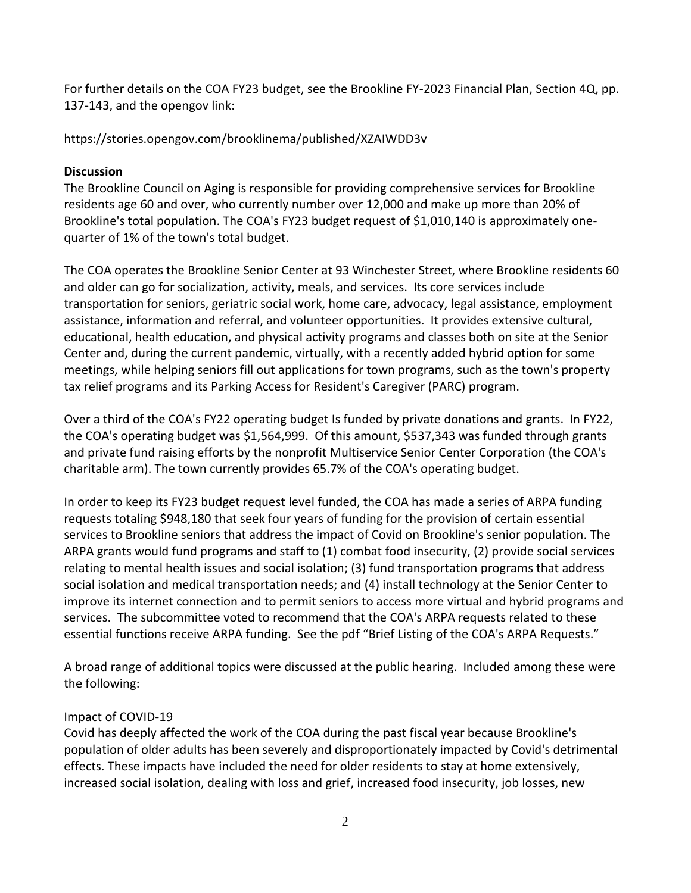For further details on the COA FY23 budget, see the Brookline FY-2023 Financial Plan, Section 4Q, pp. 137-143, and the opengov link:

https://stories.opengov.com/brooklinema/published/XZAIWDD3v

### **Discussion**

The Brookline Council on Aging is responsible for providing comprehensive services for Brookline residents age 60 and over, who currently number over 12,000 and make up more than 20% of Brookline's total population. The COA's FY23 budget request of \$1,010,140 is approximately onequarter of 1% of the town's total budget.

The COA operates the Brookline Senior Center at 93 Winchester Street, where Brookline residents 60 and older can go for socialization, activity, meals, and services. Its core services include transportation for seniors, geriatric social work, home care, advocacy, legal assistance, employment assistance, information and referral, and volunteer opportunities. It provides extensive cultural, educational, health education, and physical activity programs and classes both on site at the Senior Center and, during the current pandemic, virtually, with a recently added hybrid option for some meetings, while helping seniors fill out applications for town programs, such as the town's property tax relief programs and its Parking Access for Resident's Caregiver (PARC) program.

Over a third of the COA's FY22 operating budget Is funded by private donations and grants. In FY22, the COA's operating budget was \$1,564,999. Of this amount, \$537,343 was funded through grants and private fund raising efforts by the nonprofit Multiservice Senior Center Corporation (the COA's charitable arm). The town currently provides 65.7% of the COA's operating budget.

In order to keep its FY23 budget request level funded, the COA has made a series of ARPA funding requests totaling \$948,180 that seek four years of funding for the provision of certain essential services to Brookline seniors that address the impact of Covid on Brookline's senior population. The ARPA grants would fund programs and staff to (1) combat food insecurity, (2) provide social services relating to mental health issues and social isolation; (3) fund transportation programs that address social isolation and medical transportation needs; and (4) install technology at the Senior Center to improve its internet connection and to permit seniors to access more virtual and hybrid programs and services. The subcommittee voted to recommend that the COA's ARPA requests related to these essential functions receive ARPA funding. See the pdf "Brief Listing of the COA's ARPA Requests."

A broad range of additional topics were discussed at the public hearing. Included among these were the following:

# Impact of COVID-19

Covid has deeply affected the work of the COA during the past fiscal year because Brookline's population of older adults has been severely and disproportionately impacted by Covid's detrimental effects. These impacts have included the need for older residents to stay at home extensively, increased social isolation, dealing with loss and grief, increased food insecurity, job losses, new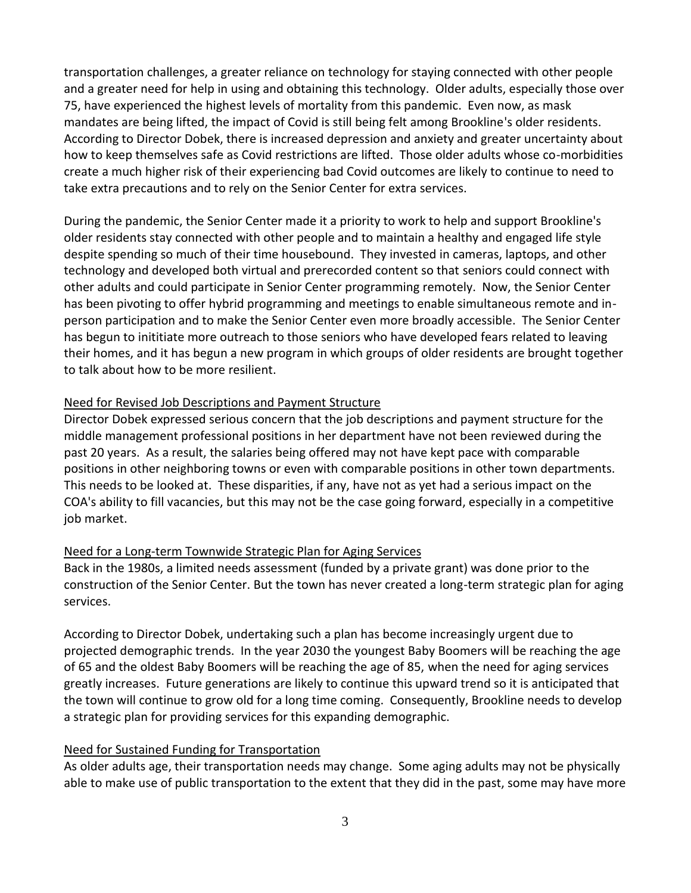transportation challenges, a greater reliance on technology for staying connected with other people and a greater need for help in using and obtaining this technology. Older adults, especially those over 75, have experienced the highest levels of mortality from this pandemic. Even now, as mask mandates are being lifted, the impact of Covid is still being felt among Brookline's older residents. According to Director Dobek, there is increased depression and anxiety and greater uncertainty about how to keep themselves safe as Covid restrictions are lifted. Those older adults whose co-morbidities create a much higher risk of their experiencing bad Covid outcomes are likely to continue to need to take extra precautions and to rely on the Senior Center for extra services.

During the pandemic, the Senior Center made it a priority to work to help and support Brookline's older residents stay connected with other people and to maintain a healthy and engaged life style despite spending so much of their time housebound. They invested in cameras, laptops, and other technology and developed both virtual and prerecorded content so that seniors could connect with other adults and could participate in Senior Center programming remotely. Now, the Senior Center has been pivoting to offer hybrid programming and meetings to enable simultaneous remote and inperson participation and to make the Senior Center even more broadly accessible. The Senior Center has begun to inititiate more outreach to those seniors who have developed fears related to leaving their homes, and it has begun a new program in which groups of older residents are brought together to talk about how to be more resilient.

### Need for Revised Job Descriptions and Payment Structure

Director Dobek expressed serious concern that the job descriptions and payment structure for the middle management professional positions in her department have not been reviewed during the past 20 years. As a result, the salaries being offered may not have kept pace with comparable positions in other neighboring towns or even with comparable positions in other town departments. This needs to be looked at. These disparities, if any, have not as yet had a serious impact on the COA's ability to fill vacancies, but this may not be the case going forward, especially in a competitive job market.

### Need for a Long-term Townwide Strategic Plan for Aging Services

Back in the 1980s, a limited needs assessment (funded by a private grant) was done prior to the construction of the Senior Center. But the town has never created a long-term strategic plan for aging services.

According to Director Dobek, undertaking such a plan has become increasingly urgent due to projected demographic trends. In the year 2030 the youngest Baby Boomers will be reaching the age of 65 and the oldest Baby Boomers will be reaching the age of 85, when the need for aging services greatly increases. Future generations are likely to continue this upward trend so it is anticipated that the town will continue to grow old for a long time coming. Consequently, Brookline needs to develop a strategic plan for providing services for this expanding demographic.

### Need for Sustained Funding for Transportation

As older adults age, their transportation needs may change. Some aging adults may not be physically able to make use of public transportation to the extent that they did in the past, some may have more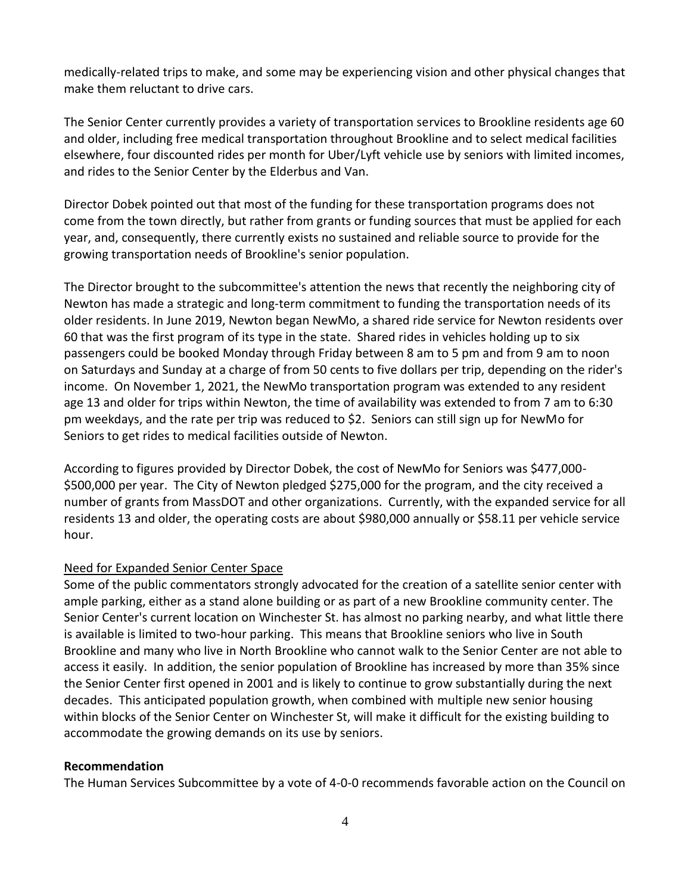medically-related trips to make, and some may be experiencing vision and other physical changes that make them reluctant to drive cars.

The Senior Center currently provides a variety of transportation services to Brookline residents age 60 and older, including free medical transportation throughout Brookline and to select medical facilities elsewhere, four discounted rides per month for Uber/Lyft vehicle use by seniors with limited incomes, and rides to the Senior Center by the Elderbus and Van.

Director Dobek pointed out that most of the funding for these transportation programs does not come from the town directly, but rather from grants or funding sources that must be applied for each year, and, consequently, there currently exists no sustained and reliable source to provide for the growing transportation needs of Brookline's senior population.

The Director brought to the subcommittee's attention the news that recently the neighboring city of Newton has made a strategic and long-term commitment to funding the transportation needs of its older residents. In June 2019, Newton began NewMo, a shared ride service for Newton residents over 60 that was the first program of its type in the state. Shared rides in vehicles holding up to six passengers could be booked Monday through Friday between 8 am to 5 pm and from 9 am to noon on Saturdays and Sunday at a charge of from 50 cents to five dollars per trip, depending on the rider's income. On November 1, 2021, the NewMo transportation program was extended to any resident age 13 and older for trips within Newton, the time of availability was extended to from 7 am to 6:30 pm weekdays, and the rate per trip was reduced to \$2. Seniors can still sign up for NewMo for Seniors to get rides to medical facilities outside of Newton.

According to figures provided by Director Dobek, the cost of NewMo for Seniors was \$477,000- \$500,000 per year. The City of Newton pledged \$275,000 for the program, and the city received a number of grants from MassDOT and other organizations. Currently, with the expanded service for all residents 13 and older, the operating costs are about \$980,000 annually or \$58.11 per vehicle service hour.

### Need for Expanded Senior Center Space

Some of the public commentators strongly advocated for the creation of a satellite senior center with ample parking, either as a stand alone building or as part of a new Brookline community center. The Senior Center's current location on Winchester St. has almost no parking nearby, and what little there is available is limited to two-hour parking. This means that Brookline seniors who live in South Brookline and many who live in North Brookline who cannot walk to the Senior Center are not able to access it easily. In addition, the senior population of Brookline has increased by more than 35% since the Senior Center first opened in 2001 and is likely to continue to grow substantially during the next decades. This anticipated population growth, when combined with multiple new senior housing within blocks of the Senior Center on Winchester St, will make it difficult for the existing building to accommodate the growing demands on its use by seniors.

#### **Recommendation**

The Human Services Subcommittee by a vote of 4-0-0 recommends favorable action on the Council on